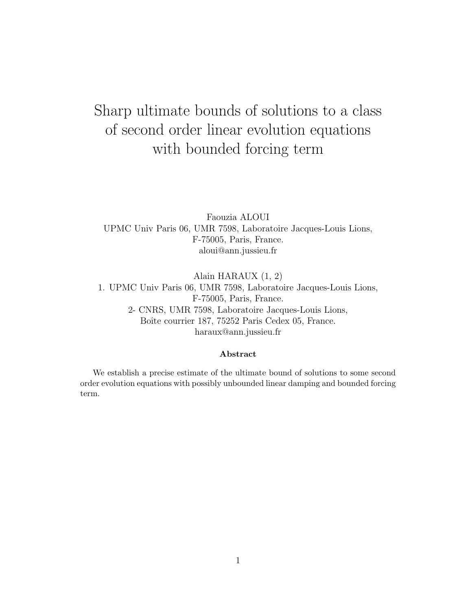# Sharp ultimate bounds of solutions to a class of second order linear evolution equations with bounded forcing term

Faouzia ALOUI UPMC Univ Paris 06, UMR 7598, Laboratoire Jacques-Louis Lions, F-75005, Paris, France. aloui@ann.jussieu.fr

Alain HARAUX (1, 2) 1. UPMC Univ Paris 06, UMR 7598, Laboratoire Jacques-Louis Lions, F-75005, Paris, France. 2- CNRS, UMR 7598, Laboratoire Jacques-Louis Lions, Boîte courrier 187, 75252 Paris Cedex 05, France. haraux@ann.jussieu.fr

#### Abstract

We establish a precise estimate of the ultimate bound of solutions to some second order evolution equations with possibly unbounded linear damping and bounded forcing term.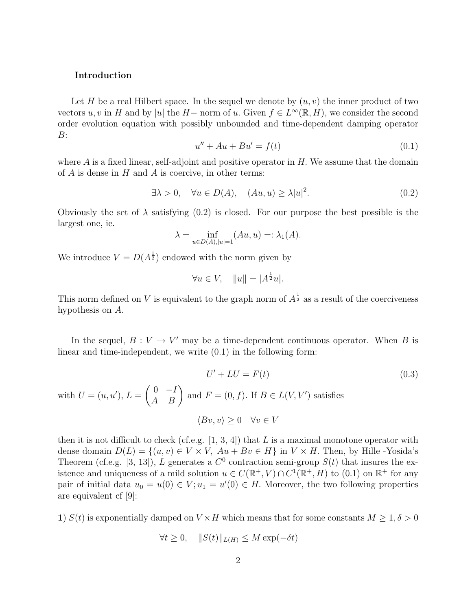#### Introduction

Let H be a real Hilbert space. In the sequel we denote by  $(u, v)$  the inner product of two vectors u, v in H and by |u| the H – norm of u. Given  $f \in L^{\infty}(\mathbb{R}, H)$ , we consider the second order evolution equation with possibly unbounded and time-dependent damping operator B:

$$
u'' + Au + Bu' = f(t)
$$
\n(0.1)

where  $A$  is a fixed linear, self-adjoint and positive operator in  $H$ . We assume that the domain of  $A$  is dense in  $H$  and  $A$  is coercive, in other terms:

$$
\exists \lambda > 0, \quad \forall u \in D(A), \quad (Au, u) \ge \lambda |u|^2. \tag{0.2}
$$

Obviously the set of  $\lambda$  satisfying (0.2) is closed. For our purpose the best possible is the largest one, ie.

$$
\lambda = \inf_{u \in D(A), |u|=1} (Au, u) =: \lambda_1(A).
$$

We introduce  $V = D(A^{\frac{1}{2}})$  endowed with the norm given by

$$
\forall u \in V, \quad ||u|| = |A^{\frac{1}{2}}u|.
$$

This norm defined on V is equivalent to the graph norm of  $A^{\frac{1}{2}}$  as a result of the coerciveness hypothesis on A.

In the sequel,  $B: V \to V'$  may be a time-dependent continuous operator. When B is linear and time-independent, we write (0.1) in the following form:

$$
U' + LU = F(t)
$$
(0.3)  
with  $U = (u, u')$ ,  $L = \begin{pmatrix} 0 & -I \\ A & B \end{pmatrix}$  and  $F = (0, f)$ . If  $B \in L(V, V')$  satisfies  

$$
\langle Bv, v \rangle \ge 0 \quad \forall v \in V
$$

then it is not difficult to check (cf.e.g.  $[1, 3, 4]$ ) that L is a maximal monotone operator with dense domain  $D(L) = \{(u, v) \in V \times V, Au + Bv \in H\}$  in  $V \times H$ . Then, by Hille -Yosida's Theorem (cf.e.g. [3, 13]), L generates a  $C^0$  contraction semi-group  $S(t)$  that insures the existence and uniqueness of a mild solution  $u \in C(\mathbb{R}^+, V) \cap C^1(\mathbb{R}^+, H)$  to  $(0.1)$  on  $\mathbb{R}^+$  for any pair of initial data  $u_0 = u(0) \in V; u_1 = u'(0) \in H$ . Moreover, the two following properties are equivalent cf [9]:

1)  $S(t)$  is exponentially damped on  $V \times H$  which means that for some constants  $M \geq 1, \delta > 0$ 

$$
\forall t \ge 0, \quad ||S(t)||_{L(H)} \le M \exp(-\delta t)
$$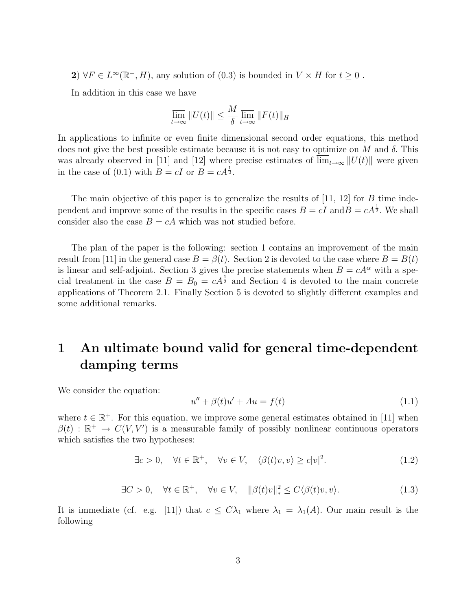2)  $\forall F \in L^{\infty}(\mathbb{R}^+, H)$ , any solution of  $(0.3)$  is bounded in  $V \times H$  for  $t \geq 0$ .

In addition in this case we have

$$
\overline{\lim}_{t \to \infty} ||U(t)|| \le \frac{M}{\delta} \overline{\lim}_{t \to \infty} ||F(t)||_H
$$

In applications to infinite or even finite dimensional second order equations, this method does not give the best possible estimate because it is not easy to optimize on M and  $\delta$ . This was already observed in [11] and [12] where precise estimates of  $\lim_{t\to\infty} ||U(t)||$  were given in the case of (0.1) with  $B = cI$  or  $B = cA^{\frac{1}{2}}$ .

The main objective of this paper is to generalize the results of  $[11, 12]$  for  $B$  time independent and improve some of the results in the specific cases  $B = cI$  and  $B = cA^{\frac{1}{2}}$ . We shall consider also the case  $B = cA$  which was not studied before.

The plan of the paper is the following: section 1 contains an improvement of the main result from [11] in the general case  $B = \beta(t)$ . Section 2 is devoted to the case where  $B = B(t)$ is linear and self-adjoint. Section 3 gives the precise statements when  $B = cA^{\alpha}$  with a special treatment in the case  $B = B_0 = cA^{\frac{1}{2}}$  and Section 4 is devoted to the main concrete applications of Theorem 2.1. Finally Section 5 is devoted to slightly different examples and some additional remarks.

## 1 An ultimate bound valid for general time-dependent damping terms

We consider the equation:

$$
u'' + \beta(t)u' + Au = f(t)
$$
\n
$$
(1.1)
$$

where  $t \in \mathbb{R}^+$ . For this equation, we improve some general estimates obtained in [11] when  $\beta(t)$ :  $\mathbb{R}^+$   $\rightarrow$   $C(V, V')$  is a measurable family of possibly nonlinear continuous operators which satisfies the two hypotheses:

> $\exists c > 0, \quad \forall t \in \mathbb{R}^+, \quad \forall v \in V, \quad \langle \beta(t)v, v \rangle \geq c|v|^2$  $(1.2)$

$$
\exists C > 0, \quad \forall t \in \mathbb{R}^+, \quad \forall v \in V, \quad ||\beta(t)v||_*^2 \le C \langle \beta(t)v, v \rangle.
$$
 (1.3)

It is immediate (cf. e.g. [11]) that  $c \leq C\lambda_1$  where  $\lambda_1 = \lambda_1(A)$ . Our main result is the following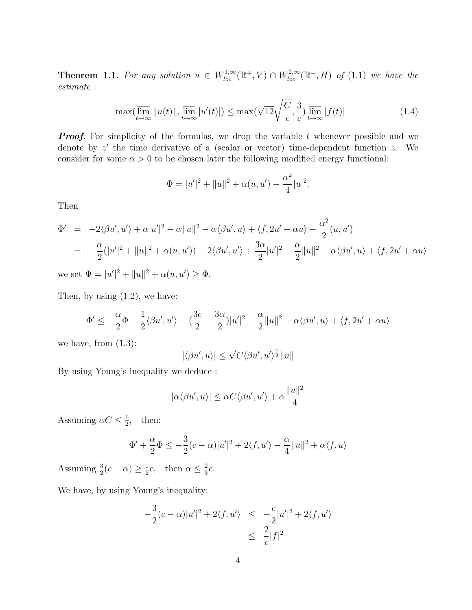**Theorem 1.1.** For any solution  $u \in W^{1,\infty}_{loc}(\mathbb{R}^+, V) \cap W^{2,\infty}_{loc}(\mathbb{R}^+, H)$  of (1.1) we have the estimate :

$$
\max(\overline{\lim}_{t \to \infty} ||u(t)||, \overline{\lim}_{t \to \infty} |u'(t)||) \le \max(\sqrt{12}\sqrt{\frac{C}{c}}, \frac{3}{c}) \overline{\lim}_{t \to \infty} |f(t)| \tag{1.4}
$$

**Proof.** For simplicity of the formulas, we drop the variable t whenever possible and we denote by  $z'$  the time derivative of a (scalar or vector) time-dependent function  $z$ . We consider for some  $\alpha > 0$  to be chosen later the following modified energy functional:

$$
\Phi = |u'|^2 + ||u||^2 + \alpha(u, u') - \frac{\alpha^2}{4}|u|^2.
$$

Then

$$
\Phi' = -2\langle \beta u', u' \rangle + \alpha |u'|^2 - \alpha ||u||^2 - \alpha \langle \beta u', u \rangle + \langle f, 2u' + \alpha u \rangle - \frac{\alpha^2}{2} (u, u')
$$
  
= 
$$
-\frac{\alpha}{2} (|u'|^2 + ||u||^2 + \alpha (u, u')) - 2\langle \beta u', u' \rangle + \frac{3\alpha}{2} |u'|^2 - \frac{\alpha}{2} ||u||^2 - \alpha \langle \beta u', u \rangle + \langle f, 2u' + \alpha u \rangle
$$

we set  $\Psi = |u'|^2 + ||u||^2 + \alpha(u, u') \ge \Phi$ .

Then, by using  $(1.2)$ , we have:

$$
\Phi' \le -\frac{\alpha}{2}\Phi - \frac{1}{2}\langle \beta u', u' \rangle - \left(\frac{3c}{2} - \frac{3\alpha}{2}\right)|u'|^2 - \frac{\alpha}{2}||u||^2 - \alpha\langle \beta u', u \rangle + \langle f, 2u' + \alpha u \rangle
$$

we have, from  $(1.3)$ :

$$
|\langle \beta u', u \rangle| \le \sqrt{C} \langle \beta u', u' \rangle^{\frac{1}{2}} ||u||
$$

By using Young's inequality we deduce :

$$
|\alpha \langle \beta u', u \rangle| \leq \alpha C \langle \beta u', u' \rangle + \alpha \frac{||u||^2}{4}
$$

Assuming  $\alpha C \leq \frac{1}{2}$  $\frac{1}{2}$ , then:

$$
\Phi' + \frac{\alpha}{2}\Phi \le -\frac{3}{2}(c - \alpha)|u'|^2 + 2\langle f, u' \rangle - \frac{\alpha}{4}||u||^2 + \alpha\langle f, u \rangle
$$

Assuming  $\frac{3}{2}(c - \alpha) \ge \frac{1}{2}$  $\frac{1}{2}c$ , then  $\alpha \leq \frac{2}{3}$  $rac{2}{3}c$ .

We have, by using Young's inequality:

$$
-\frac{3}{2}(c-\alpha)|u'|^2 + 2\langle f, u' \rangle \le -\frac{c}{2}|u'|^2 + 2\langle f, u' \rangle
$$
  

$$
\le \frac{2}{c}|f|^2
$$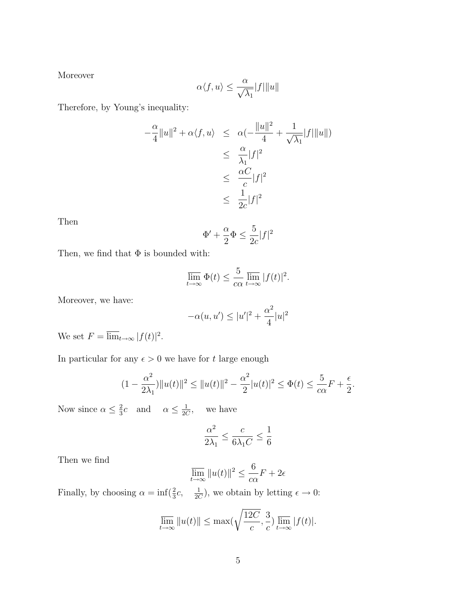Moreover

$$
\alpha \langle f, u \rangle \le \frac{\alpha}{\sqrt{\lambda_1}} |f| \|u\|
$$

Therefore, by Young's inequality:

$$
-\frac{\alpha}{4}||u||^2 + \alpha \langle f, u \rangle \leq \alpha \left(-\frac{||u||^2}{4} + \frac{1}{\sqrt{\lambda_1}}|f| ||u||\right)
$$
  

$$
\leq \frac{\alpha}{\lambda_1}|f|^2
$$
  

$$
\leq \frac{\alpha C}{c}|f|^2
$$
  

$$
\leq \frac{1}{2c}|f|^2
$$

Then

$$
\Phi' + \frac{\alpha}{2}\Phi \le \frac{5}{2c}|f|^2
$$

Then, we find that  $\Phi$  is bounded with:

$$
\overline{\lim}_{t \to \infty} \Phi(t) \le \frac{5}{c\alpha} \overline{\lim}_{t \to \infty} |f(t)|^2.
$$

Moreover, we have:

$$
-\alpha(u,u')\leq |u'|^2+\frac{\alpha^2}{4}|u|^2
$$

We set  $F = \overline{\lim}_{t \to \infty} |f(t)|^2$ .

In particular for any  $\epsilon > 0$  we have for  $t$  large enough

$$
(1 - \frac{\alpha^2}{2\lambda_1})||u(t)||^2 \le ||u(t)||^2 - \frac{\alpha^2}{2}|u(t)|^2 \le \Phi(t) \le \frac{5}{c\alpha}F + \frac{\epsilon}{2}.
$$

Now since  $\alpha \leq \frac{2}{3}$  $\frac{2}{3}c$  and  $\alpha \leq \frac{1}{20}$ 2C we have

$$
\frac{\alpha^2}{2\lambda_1}\leq \frac{c}{6\lambda_1C}\leq \frac{1}{6}
$$

Then we find

$$
\overline{\lim_{t \to \infty}} \|u(t)\|^2 \le \frac{6}{c\alpha} F + 2\epsilon
$$

Finally, by choosing  $\alpha = \inf(\frac{2}{3}c, \frac{1}{2C})$ , we obtain by letting  $\epsilon \to 0$ :

$$
\overline{\lim}_{t \to \infty} ||u(t)|| \le \max\left(\sqrt{\frac{12C}{c}}, \frac{3}{c}\right) \overline{\lim}_{t \to \infty} |f(t)|.
$$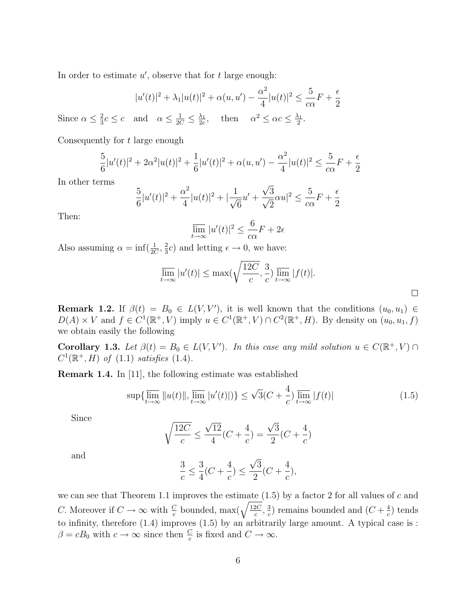In order to estimate  $u'$ , observe that for  $t$  large enough:

$$
|u'(t)|^{2} + \lambda_{1}|u(t)|^{2} + \alpha(u, u') - \frac{\alpha^{2}}{4}|u(t)|^{2} \le \frac{5}{c\alpha}F + \frac{\epsilon}{2}
$$

Since  $\alpha \leq \frac{2}{3}$  $\frac{2}{3}c \leq c$  and  $\alpha \leq \frac{1}{2C} \leq \frac{\lambda_1}{2c}$  $\frac{\lambda_1}{2c}$ , then  $\alpha^2 \leq \alpha c \leq \frac{\lambda_1}{2}$  $\frac{\lambda_1}{2}$  .

Consequently for t large enough

$$
\frac{5}{6}|u'(t)|^2 + 2\alpha^2|u(t)|^2 + \frac{1}{6}|u'(t)|^2 + \alpha(u, u') - \frac{\alpha^2}{4}|u(t)|^2 \le \frac{5}{c\alpha}F + \frac{\epsilon}{2}
$$

In other terms

$$
\frac{5}{6}|u'(t)|^2 + \frac{\alpha^2}{4}|u(t)|^2 + |\frac{1}{\sqrt{6}}u' + \frac{\sqrt{3}}{\sqrt{2}}\alpha u|^2 \le \frac{5}{c\alpha}F + \frac{\epsilon}{2}
$$

Then:

$$
\overline{\lim}_{t \to \infty} |u'(t)|^2 \le \frac{6}{c\alpha} F + 2\epsilon
$$

Also assuming  $\alpha = \inf(\frac{1}{2C}, \frac{2}{3})$  $\frac{2}{3}c$ ) and letting  $\epsilon \to 0$ , we have:

$$
\overline{\lim}_{t \to \infty} |u'(t)| \le \max\left(\sqrt{\frac{12C}{c}}, \frac{3}{c}\right) \overline{\lim}_{t \to \infty} |f(t)|.
$$

 $\Box$ 

**Remark 1.2.** If  $\beta(t) = B_0 \in L(V, V')$ , it is well known that the conditions  $(u_0, u_1) \in$  $D(A) \times V$  and  $f \in C^1(\mathbb{R}^+, V)$  imply  $u \in C^1(\mathbb{R}^+, V) \cap C^2(\mathbb{R}^+, H)$ . By density on  $(u_0, u_1, f)$ we obtain easily the following

**Corollary 1.3.** Let  $\beta(t) = B_0 \in L(V, V')$ . In this case any mild solution  $u \in C(\mathbb{R}^+, V)$  $C^1(\mathbb{R}^+, H)$  of  $(1.1)$  satisfies  $(1.4)$ .

Remark 1.4. In [11], the following estimate was established

$$
\sup\{\overline{\lim}_{t\to\infty}||u(t)||,\overline{\lim}_{t\to\infty}|u'(t)||\} \leq \sqrt{3}(C+\frac{4}{c})\overline{\lim}_{t\to\infty}|f(t)|\tag{1.5}
$$

Since

$$
\sqrt{\frac{12C}{c}} \le \frac{\sqrt{12}}{4}(C + \frac{4}{c}) = \frac{\sqrt{3}}{2}(C + \frac{4}{c})
$$

and

$$
\frac{3}{c} \le \frac{3}{4}(C + \frac{4}{c}) \le \frac{\sqrt{3}}{2}(C + \frac{4}{c}),
$$

we can see that Theorem 1.1 improves the estimate  $(1.5)$  by a factor 2 for all values of c and *C*. Moreover if  $C \to \infty$  with  $\frac{C}{c}$  bounded, max( $\sqrt{\frac{12C}{c}}$  $\frac{2C}{c}$ ,  $\frac{3}{c}$  $\frac{3}{c}$ ) remains bounded and  $(C + \frac{4}{c})$  $\frac{4}{c}$ ) tends to infinity, therefore  $(1.4)$  improves  $(1.5)$  by an arbitrarily large amount. A typical case is :  $\beta = cB_0$  with  $c \to \infty$  since then  $\frac{C}{c}$  is fixed and  $C \to \infty$ .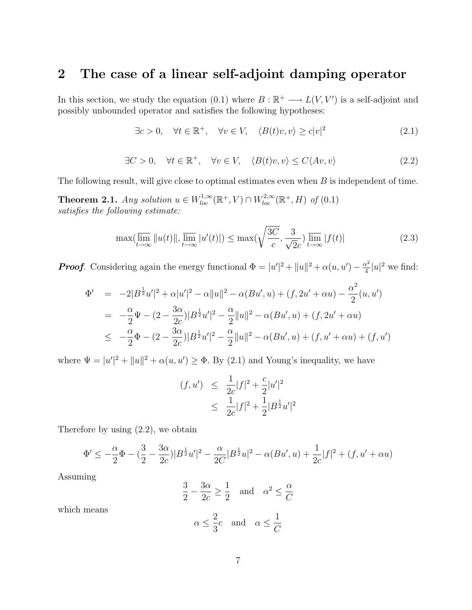### 2 The case of a linear self-adjoint damping operator

In this section, we study the equation (0.1) where  $B : \mathbb{R}^+ \longrightarrow L(V, V')$  is a self-adjoint and possibly unbounded operator and satisfies the following hypotheses:

$$
\exists c > 0, \quad \forall t \in \mathbb{R}^+, \quad \forall v \in V, \quad \langle B(t)v, v \rangle \ge c|v|^2 \tag{2.1}
$$

$$
\exists C > 0, \quad \forall t \in \mathbb{R}^+, \quad \forall v \in V, \quad \langle B(t)v, v \rangle \le C \langle Av, v \rangle \tag{2.2}
$$

The following result, will give close to optimal estimates even when  $B$  is independent of time.

**Theorem 2.1.** Any solution  $u \in W^{1,\infty}_{loc}(\mathbb{R}^+, V) \cap W^{2,\infty}_{loc}(\mathbb{R}^+, H)$  of (0.1) satisfies the following estimate:

$$
\max(\overline{\lim}_{t \to \infty} ||u(t)||, \overline{\lim}_{t \to \infty} |u'(t)||) \le \max(\sqrt{\frac{3C}{c}}, \frac{3}{\sqrt{2}c}) \overline{\lim}_{t \to \infty} |f(t)| \tag{2.3}
$$

**Proof.** Considering again the energy functional  $\Phi = |u'|^2 + ||u||^2 + \alpha(u, u') - \frac{\alpha^2}{4}$  $\frac{x^2}{4}|u|^2$  we find:

$$
\Phi' = -2|B^{\frac{1}{2}}u'|^2 + \alpha|u'|^2 - \alpha||u||^2 - \alpha(Bu', u) + (f, 2u' + \alpha u) - \frac{\alpha^2}{2}(u, u')
$$
  
\n
$$
= -\frac{\alpha}{2}\Psi - (2 - \frac{3\alpha}{2c})|B^{\frac{1}{2}}u'|^2 - \frac{\alpha}{2}||u||^2 - \alpha(Bu', u) + (f, 2u' + \alpha u)
$$
  
\n
$$
\leq -\frac{\alpha}{2}\Phi - (2 - \frac{3\alpha}{2c})|B^{\frac{1}{2}}u'|^2 - \frac{\alpha}{2}||u||^2 - \alpha(Bu', u) + (f, u' + \alpha u) + (f, u')
$$

where  $\Psi = |u'|^2 + ||u||^2 + \alpha(u, u') \ge \Phi$ . By (2.1) and Young's inequality, we have

$$
(f, u') \leq \frac{1}{2c}|f|^2 + \frac{c}{2}|u'|^2
$$
  
 
$$
\leq \frac{1}{2c}|f|^2 + \frac{1}{2}|B^{\frac{1}{2}}u'|^2
$$

Therefore by using (2.2), we obtain

$$
\Phi' \le -\frac{\alpha}{2}\Phi - \left(\frac{3}{2} - \frac{3\alpha}{2c}\right)|B^{\frac{1}{2}}u'|^2 - \frac{\alpha}{2C}|B^{\frac{1}{2}}u|^2 - \alpha(Bu',u) + \frac{1}{2c}|f|^2 + (f,u' + \alpha u)
$$

Assuming

$$
\frac{3}{2} - \frac{3\alpha}{2c} \ge \frac{1}{2} \quad \text{and} \quad \alpha^2 \le \frac{\alpha}{C}
$$

which means

$$
\alpha \leq \frac{2}{3}c
$$
 and  $\alpha \leq \frac{1}{C}$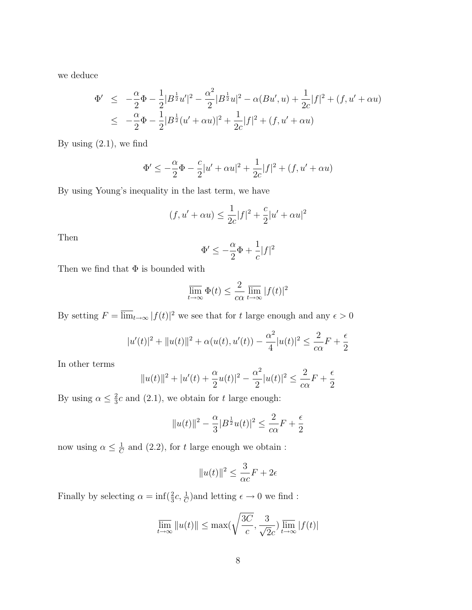we deduce

$$
\Phi' \le -\frac{\alpha}{2}\Phi - \frac{1}{2}|B^{\frac{1}{2}}u'|^2 - \frac{\alpha^2}{2}|B^{\frac{1}{2}}u|^2 - \alpha(Bu', u) + \frac{1}{2c}|f|^2 + (f, u' + \alpha u)
$$
  

$$
\le -\frac{\alpha}{2}\Phi - \frac{1}{2}|B^{\frac{1}{2}}(u' + \alpha u)|^2 + \frac{1}{2c}|f|^2 + (f, u' + \alpha u)
$$

By using  $(2.1)$ , we find

$$
\Phi' \le -\frac{\alpha}{2}\Phi - \frac{c}{2}|u' + \alpha u|^2 + \frac{1}{2c}|f|^2 + (f, u' + \alpha u)
$$

By using Young's inequality in the last term, we have

$$
(f, u' + \alpha u) \le \frac{1}{2c}|f|^2 + \frac{c}{2}|u' + \alpha u|^2
$$

Then

$$
\Phi' \le -\frac{\alpha}{2}\Phi + \frac{1}{c}|f|^2
$$

Then we find that  $\Phi$  is bounded with

$$
\overline{\lim}_{t \to \infty} \Phi(t) \le \frac{2}{c\alpha} \overline{\lim}_{t \to \infty} |f(t)|^2
$$

By setting  $F = \overline{\lim}_{t \to \infty} |f(t)|^2$  we see that for t large enough and any  $\epsilon > 0$ 

$$
|u'(t)|^2 + ||u(t)||^2 + \alpha(u(t), u'(t)) - \frac{\alpha^2}{4}|u(t)|^2 \le \frac{2}{c\alpha}F + \frac{\epsilon}{2}
$$

In other terms

$$
||u(t)||^{2} + |u'(t) + \frac{\alpha}{2}u(t)|^{2} - \frac{\alpha^{2}}{2}|u(t)|^{2} \le \frac{2}{c\alpha}F + \frac{\epsilon}{2}
$$

By using  $\alpha \leq \frac{2}{3}$  $\frac{2}{3}c$  and (2.1), we obtain for t large enough:

$$
||u(t)||^{2} - \frac{\alpha}{3}|B^{\frac{1}{2}}u(t)|^{2} \le \frac{2}{c\alpha}F + \frac{\epsilon}{2}
$$

now using  $\alpha \leq \frac{1}{C}$  $\frac{1}{C}$  and (2.2), for t large enough we obtain :

$$
||u(t)||^2 \le \frac{3}{\alpha c}F + 2\epsilon
$$

Finally by selecting  $\alpha = \inf(\frac{2}{3}c, \frac{1}{C})$  and letting  $\epsilon \to 0$  we find:

$$
\overline{\lim}_{t \to \infty} ||u(t)|| \le \max\left(\sqrt{\frac{3C}{c}}, \frac{3}{\sqrt{2}c}\right) \overline{\lim}_{t \to \infty} |f(t)|
$$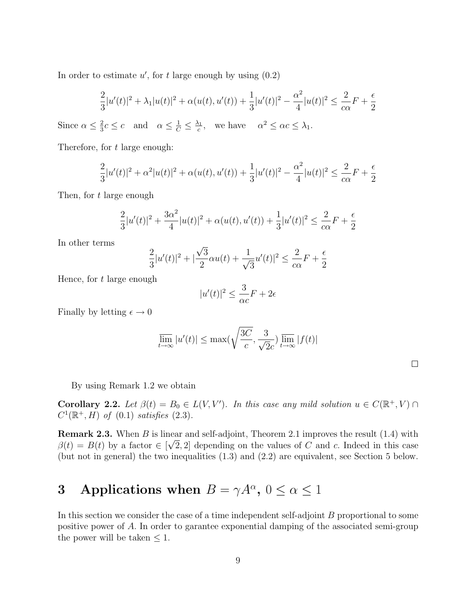In order to estimate  $u'$ , for t large enough by using  $(0.2)$ 

$$
\frac{2}{3}|u'(t)|^2 + \lambda_1|u(t)|^2 + \alpha(u(t), u'(t)) + \frac{1}{3}|u'(t)|^2 - \frac{\alpha^2}{4}|u(t)|^2 \le \frac{2}{c\alpha}F + \frac{\epsilon}{2}
$$

Since  $\alpha \leq \frac{2}{3}$  $\frac{2}{3}c \leq c$  and  $\alpha \leq \frac{1}{C} \leq \frac{\lambda_1}{c}$  $\frac{\lambda_1}{c}$ , we have  $\alpha^2 \leq \alpha c \leq \lambda_1$ .

Therefore, for t large enough:

$$
\frac{2}{3}|u'(t)|^2 + \alpha^2|u(t)|^2 + \alpha(u(t), u'(t)) + \frac{1}{3}|u'(t)|^2 - \frac{\alpha^2}{4}|u(t)|^2 \le \frac{2}{c\alpha}F + \frac{\epsilon}{2}
$$

Then, for t large enough

$$
\frac{2}{3}|u'(t)|^2 + \frac{3\alpha^2}{4}|u(t)|^2 + \alpha(u(t), u'(t)) + \frac{1}{3}|u'(t)|^2 \le \frac{2}{c\alpha}F + \frac{\epsilon}{2}
$$

In other terms

$$
\frac{2}{3}|u'(t)|^2 + |\frac{\sqrt{3}}{2}\alpha u(t) + \frac{1}{\sqrt{3}}u'(t)|^2 \le \frac{2}{c\alpha}F + \frac{\epsilon}{2}
$$

Hence, for  $t$  large enough

$$
|u'(t)|^2 \le \frac{3}{\alpha c}F + 2\epsilon
$$

Finally by letting  $\epsilon \to 0$ 

$$
\overline{\lim}_{t \to \infty} |u'(t)| \le \max\left(\sqrt{\frac{3C}{c}}, \frac{3}{\sqrt{2}c}\right) \overline{\lim}_{t \to \infty} |f(t)|
$$

By using Remark 1.2 we obtain

**Corollary 2.2.** Let  $\beta(t) = B_0 \in L(V, V')$ . In this case any mild solution  $u \in C(\mathbb{R}^+, V)$  $C^1(\mathbb{R}^+, H)$  of (0.1) satisfies (2.3).

**Remark 2.3.** When B is linear and self-adjoint, Theorem 2.1 improves the result (1.4) with  $\beta(t) = B(t)$  by a factor  $\in [\sqrt{2}, 2]$  depending on the values of C and c. Indeed in this case (but not in general) the two inequalities (1.3) and (2.2) are equivalent, see Section 5 below.

## 3 Applications when  $B = \gamma A^{\alpha}$ ,  $0 \le \alpha \le 1$

In this section we consider the case of a time independent self-adjoint B proportional to some positive power of A. In order to garantee exponential damping of the associated semi-group the power will be taken  $\leq 1$ .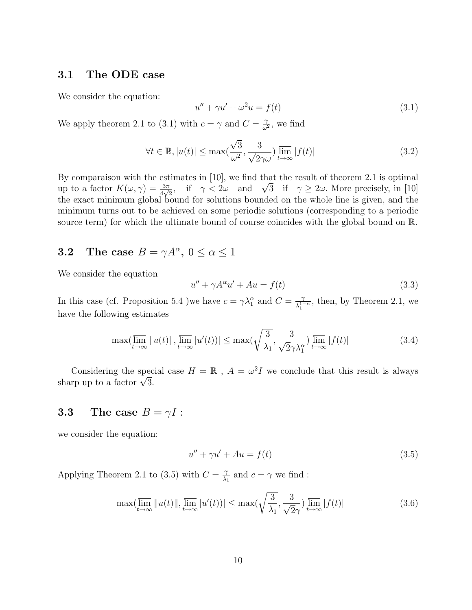#### 3.1 The ODE case

We consider the equation:

$$
u'' + \gamma u' + \omega^2 u = f(t) \tag{3.1}
$$

We apply theorem 2.1 to (3.1) with  $c = \gamma$  and  $C = \frac{\gamma}{\omega^2}$  $\frac{\gamma}{\omega^2}$ , we find

$$
\forall t \in \mathbb{R}, |u(t)| \le \max\left(\frac{\sqrt{3}}{\omega^2}, \frac{3}{\sqrt{2}\gamma\omega}\right) \lim_{t \to \infty} |f(t)| \tag{3.2}
$$

By comparaison with the estimates in [10], we find that the result of theorem 2.1 is optimal By comparaison with the estimates in [10], we find that the result of theorem 2.1 is optimal<br>up to a factor  $K(\omega, \gamma) = \frac{3\pi}{4\sqrt{2}}$ , if  $\gamma < 2\omega$  and  $\sqrt{3}$  if  $\gamma \ge 2\omega$ . More precisely, in [10] the exact minimum global bound for solutions bounded on the whole line is given, and the minimum turns out to be achieved on some periodic solutions (corresponding to a periodic source term) for which the ultimate bound of course coincides with the global bound on R.

### **3.2** The case  $B = \gamma A^{\alpha}$ ,  $0 \le \alpha \le 1$

We consider the equation

$$
u'' + \gamma A^{\alpha} u' + Au = f(t)
$$
\n(3.3)

In this case (cf. Proposition 5.4 )we have  $c = \gamma \lambda_1^{\alpha}$  and  $C = \frac{\gamma}{\lambda_1^{\alpha}}$  $\frac{\gamma}{\lambda_1^{1-\alpha}}$ , then, by Theorem 2.1, we have the following estimates

$$
\max(\overline{\lim}_{t \to \infty} ||u(t)||, \overline{\lim}_{t \to \infty} |u'(t))| \le \max(\sqrt{\frac{3}{\lambda_1}}, \frac{3}{\sqrt{2}\gamma\lambda_1^{\alpha}}) \overline{\lim}_{t \to \infty} |f(t)|
$$
\n(3.4)

Considering the special case  $H = \mathbb{R}$ ,  $A = \omega^2 I$  we conclude that this result is always Considering the specsharp up to a factor  $\sqrt{3}$ .

#### **3.3** The case  $B = \gamma I$ :

we consider the equation:

$$
u'' + \gamma u' + Au = f(t) \tag{3.5}
$$

Applying Theorem 2.1 to (3.5) with  $C = \frac{2}{\lambda}$  $\frac{\gamma}{\lambda_1}$  and  $c = \gamma$  we find :

$$
\max(\overline{\lim}_{t \to \infty} ||u(t)||, \overline{\lim}_{t \to \infty} |u'(t))| \le \max(\sqrt{\frac{3}{\lambda_1}}, \frac{3}{\sqrt{2}\gamma}) \overline{\lim}_{t \to \infty} |f(t)| \tag{3.6}
$$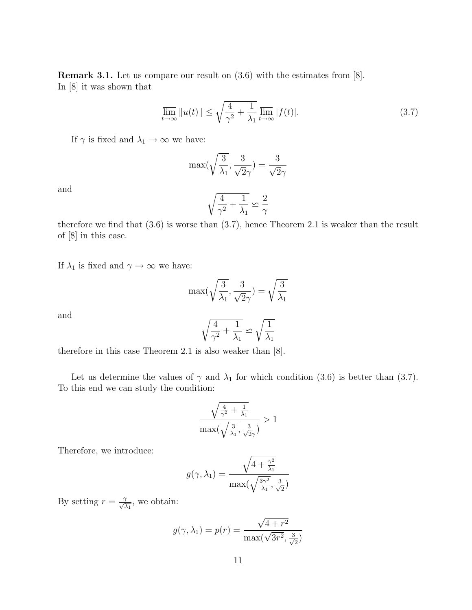Remark 3.1. Let us compare our result on (3.6) with the estimates from [8]. In [8] it was shown that

$$
\overline{\lim}_{t \to \infty} ||u(t)|| \le \sqrt{\frac{4}{\gamma^2} + \frac{1}{\lambda_1}} \overline{\lim}_{t \to \infty} |f(t)|. \tag{3.7}
$$

If  $\gamma$  is fixed and  $\lambda_1 \rightarrow \infty$  we have:

$$
\max(\sqrt{\frac{3}{\lambda_1}},\frac{3}{\sqrt{2}\gamma})=\frac{3}{\sqrt{2}\gamma}
$$

and

$$
\sqrt{\frac{4}{\gamma^2}+\frac{1}{\lambda_1}}\backsimeq \frac{2}{\gamma}
$$

therefore we find that (3.6) is worse than (3.7), hence Theorem 2.1 is weaker than the result of [8] in this case.

If  $\lambda_1$  is fixed and  $\gamma \to \infty$  we have:

$$
\max(\sqrt{\frac{3}{\lambda_1}}, \frac{3}{\sqrt{2}\gamma}) = \sqrt{\frac{3}{\lambda_1}}
$$

and

$$
\sqrt{\frac{4}{\gamma^2} + \frac{1}{\lambda_1}} \backsimeq \sqrt{\frac{1}{\lambda_1}}
$$

therefore in this case Theorem 2.1 is also weaker than [8].

Let us determine the values of  $\gamma$  and  $\lambda_1$  for which condition (3.6) is better than (3.7). To this end we can study the condition:

$$
\frac{\sqrt{\frac{4}{\gamma^2} + \frac{1}{\lambda_1}}}{\max(\sqrt{\frac{3}{\lambda_1}}, \frac{3}{\sqrt{2}\gamma})} > 1
$$

Therefore, we introduce:

$$
g(\gamma, \lambda_1) = \frac{\sqrt{4 + \frac{\gamma^2}{\lambda_1}}}{\max(\sqrt{\frac{3\gamma^2}{\lambda_1}}, \frac{3}{\sqrt{2}})}
$$

By setting  $r = \frac{\gamma}{\sqrt{\lambda_1}}$ , we obtain:

$$
g(\gamma, \lambda_1) = p(r) = \frac{\sqrt{4 + r^2}}{\max(\sqrt{3r^2}, \frac{3}{\sqrt{2}})}
$$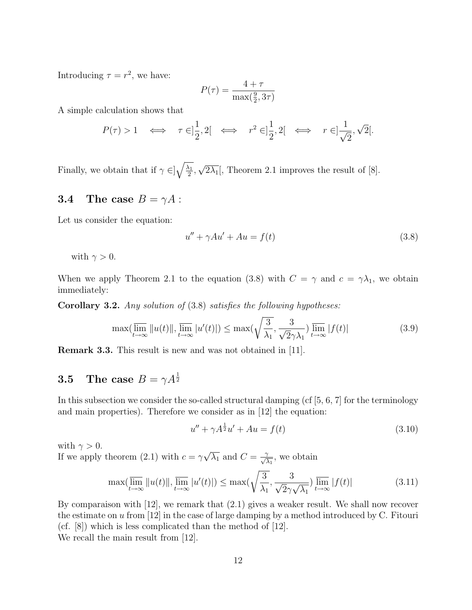Introducing  $\tau = r^2$ , we have:

$$
P(\tau) = \frac{4 + \tau}{\max(\frac{9}{2}, 3\tau)}
$$

A simple calculation shows that

$$
P(\tau)>1 \quad \Longleftrightarrow \quad \tau \in ]\frac{1}{2},2[ \quad \Longleftrightarrow \quad r^2 \in ]\frac{1}{2},2[ \quad \Longleftrightarrow \quad r \in ]\frac{1}{\sqrt{2}},\sqrt{2}[.
$$

Finally, we obtain that if  $\gamma \in ]\sqrt{\frac{\lambda_1}{2}}$  $\frac{\lambda_1}{2}$ , √  $\overline{2\lambda_1}$ , Theorem 2.1 improves the result of [8].

#### **3.4** The case  $B = \gamma A$ :

Let us consider the equation:

$$
u'' + \gamma Au' + Au = f(t)
$$
\n
$$
(3.8)
$$

with  $\gamma > 0$ .

When we apply Theorem 2.1 to the equation (3.8) with  $C = \gamma$  and  $c = \gamma \lambda_1$ , we obtain immediately:

Corollary 3.2. Any solution of (3.8) satisfies the following hypotheses:

$$
\max(\overline{\lim}_{t \to \infty} ||u(t)||, \overline{\lim}_{t \to \infty} |u'(t)||) \le \max(\sqrt{\frac{3}{\lambda_1}}, \frac{3}{\sqrt{2}\gamma \lambda_1}) \overline{\lim}_{t \to \infty} |f(t)| \tag{3.9}
$$

Remark 3.3. This result is new and was not obtained in [11].

## **3.5** The case  $B = \gamma A^{\frac{1}{2}}$

In this subsection we consider the so-called structural damping (cf  $[5, 6, 7]$  for the terminology and main properties). Therefore we consider as in [12] the equation:

$$
u'' + \gamma A^{\frac{1}{2}} u' + Au = f(t)
$$
\n(3.10)

with  $\gamma > 0$ .

If we apply theorem (2.1) with  $c = \gamma$ √  $\overline{\lambda_1}$  and  $C = \frac{\gamma}{\sqrt{\lambda_1}}$ , we obtain

$$
\max(\overline{\lim}_{t \to \infty} ||u(t)||, \overline{\lim}_{t \to \infty} |u'(t)||) \le \max(\sqrt{\frac{3}{\lambda_1}}, \frac{3}{\sqrt{2}\gamma\sqrt{\lambda_1}}) \overline{\lim}_{t \to \infty} |f(t)| \tag{3.11}
$$

By comparaison with [12], we remark that (2.1) gives a weaker result. We shall now recover the estimate on  $u$  from [12] in the case of large damping by a method introduced by C. Fitouri (cf. [8]) which is less complicated than the method of [12]. We recall the main result from [12].

12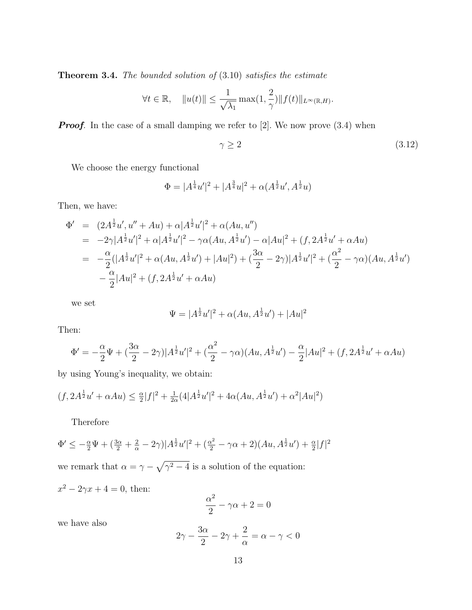**Theorem 3.4.** The bounded solution of  $(3.10)$  satisfies the estimate

$$
\forall t \in \mathbb{R}, \quad \|u(t)\| \le \frac{1}{\sqrt{\lambda_1}} \max(1, \frac{2}{\gamma}) \|f(t)\|_{L^{\infty}(\mathbb{R}, H)}.
$$

**Proof.** In the case of a small damping we refer to  $[2]$ . We now prove  $(3.4)$  when

$$
\gamma \ge 2\tag{3.12}
$$

We choose the energy functional

$$
\Phi = |A^{\frac{1}{4}}u'|^2 + |A^{\frac{3}{4}}u|^2 + \alpha(A^{\frac{1}{2}}u', A^{\frac{1}{2}}u)
$$

Then, we have:

$$
\Phi' = (2A^{\frac{1}{2}}u', u'' + Au) + \alpha |A^{\frac{1}{2}}u'|^2 + \alpha(Au, u'')
$$
  
\n
$$
= -2\gamma |A^{\frac{1}{2}}u'|^2 + \alpha |A^{\frac{1}{2}}u'|^2 - \gamma \alpha(Au, A^{\frac{1}{2}}u') - \alpha |Au|^2 + (f, 2A^{\frac{1}{2}}u' + \alpha Au)
$$
  
\n
$$
= -\frac{\alpha}{2}(|A^{\frac{1}{2}}u'|^2 + \alpha(Au, A^{\frac{1}{2}}u') + |Au|^2) + (\frac{3\alpha}{2} - 2\gamma)|A^{\frac{1}{2}}u'|^2 + (\frac{\alpha^2}{2} - \gamma \alpha)(Au, A^{\frac{1}{2}}u')
$$
  
\n
$$
- \frac{\alpha}{2}|Au|^2 + (f, 2A^{\frac{1}{2}}u' + \alpha Au)
$$

we set

$$
\Psi = |A^{\frac{1}{2}}u'|^2 + \alpha(Au, A^{\frac{1}{2}}u') + |Au|^2
$$

Then:

$$
\Phi' = -\frac{\alpha}{2}\Psi + (\frac{3\alpha}{2} - 2\gamma)|A^{\frac{1}{2}}u'|^2 + (\frac{\alpha^2}{2} - \gamma\alpha)(Au, A^{\frac{1}{2}}u') - \frac{\alpha}{2}|Au|^2 + (f, 2A^{\frac{1}{2}}u' + \alpha Au)
$$

by using Young's inequality, we obtain:

$$
(f, 2A^{\frac{1}{2}}u' + \alpha Au) \leq \frac{\alpha}{2}|f|^2 + \frac{1}{2\alpha}(4|A^{\frac{1}{2}}u'|^2 + 4\alpha(Au, A^{\frac{1}{2}}u') + \alpha^2|Au|^2)
$$

Therefore

$$
\Phi' \le -\frac{\alpha}{2}\Psi + (\frac{3\alpha}{2} + \frac{2}{\alpha} - 2\gamma)|A^{\frac{1}{2}}u'|^2 + (\frac{\alpha^2}{2} - \gamma\alpha + 2)(Au, A^{\frac{1}{2}}u') + \frac{\alpha}{2}|f|^2
$$
  
we remark that  $\alpha = \gamma - \sqrt{\gamma^2 - 4}$  is a solution of the equation:

 $x^2 - 2\gamma x + 4 = 0$ , then:

$$
\frac{\alpha^2}{2} - \gamma \alpha + 2 = 0
$$

we have also

$$
2\gamma - \frac{3\alpha}{2} - 2\gamma + \frac{2}{\alpha} = \alpha - \gamma < 0
$$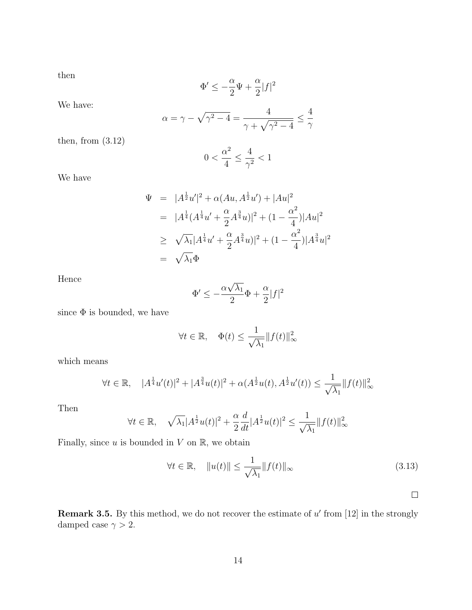then

$$
\Phi'\leq -\frac{\alpha}{2}\Psi+\frac{\alpha}{2}|f|^2
$$

We have:

$$
\alpha = \gamma - \sqrt{\gamma^2 - 4} = \frac{4}{\gamma + \sqrt{\gamma^2 - 4}} \leq \frac{4}{\gamma}
$$

then, from  $(3.12)$ 

$$
0<\frac{\alpha^2}{4}\leq \frac{4}{\gamma^2}<1
$$

We have

$$
\Psi = |A^{\frac{1}{2}}u'|^2 + \alpha(Au, A^{\frac{1}{2}}u') + |Au|^2
$$
  
\n
$$
= |A^{\frac{1}{4}}(A^{\frac{1}{4}}u' + \frac{\alpha}{2}A^{\frac{3}{4}}u)|^2 + (1 - \frac{\alpha^2}{4})|Au|^2
$$
  
\n
$$
\geq \sqrt{\lambda_1}|A^{\frac{1}{4}}u' + \frac{\alpha}{2}A^{\frac{3}{4}}u)|^2 + (1 - \frac{\alpha^2}{4})|A^{\frac{3}{4}}u|^2
$$
  
\n
$$
= \sqrt{\lambda_1}\Phi
$$

Hence

$$
\Phi' \le -\frac{\alpha \sqrt{\lambda_1}}{2} \Phi + \frac{\alpha}{2} |f|^2
$$

since  $\Phi$  is bounded, we have

$$
\forall t \in \mathbb{R}, \quad \Phi(t) \le \frac{1}{\sqrt{\lambda_1}} \|f(t)\|_{\infty}^2
$$

which means

$$
\forall t \in \mathbb{R}, \quad |A^{\frac{1}{4}}u'(t)|^2 + |A^{\frac{3}{4}}u(t)|^2 + \alpha(A^{\frac{1}{2}}u(t), A^{\frac{1}{2}}u'(t)) \le \frac{1}{\sqrt{\lambda_1}}||f(t)||^2_{\infty}
$$

Then

$$
\forall t\in\mathbb{R},\quad \sqrt{\lambda_1}|A^{\frac{1}{2}}u(t)|^2+\frac{\alpha}{2}\frac{d}{dt}|A^{\frac{1}{2}}u(t)|^2\leq \frac{1}{\sqrt{\lambda_1}}\|f(t)\|_\infty^2
$$

Finally, since  $u$  is bounded in  $V$  on  $\mathbb{R}$ , we obtain

$$
\forall t \in \mathbb{R}, \quad \|u(t)\| \le \frac{1}{\sqrt{\lambda_1}} \|f(t)\|_{\infty} \tag{3.13}
$$

 $\Box$ 

**Remark 3.5.** By this method, we do not recover the estimate of  $u'$  from [12] in the strongly damped case  $\gamma > 2$ .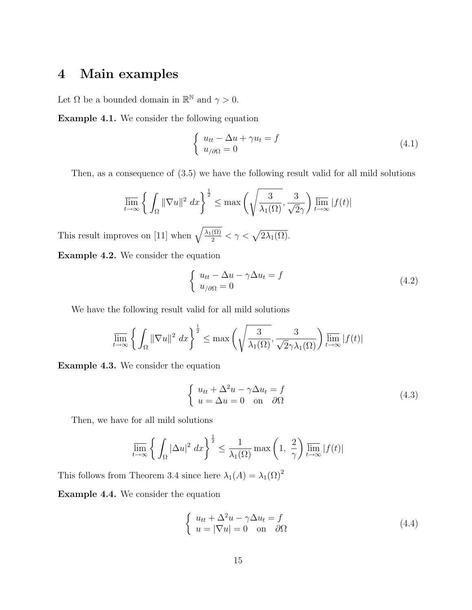### 4 Main examples

Let  $\Omega$  be a bounded domain in  $\mathbb{R}^{\mathbb{N}}$  and  $\gamma > 0$ .

Example 4.1. We consider the following equation

$$
\begin{cases}\n u_{tt} - \Delta u + \gamma u_t = f \\
u_{\partial\Omega} = 0\n\end{cases}
$$
\n(4.1)

Then, as a consequence of (3.5) we have the following result valid for all mild solutions

$$
\overline{\lim}_{t \to \infty} \left\{ \int_{\Omega} \|\nabla u\|^2 \, dx \right\}^{\frac{1}{2}} \le \max \left( \sqrt{\frac{3}{\lambda_1(\Omega)}}, \frac{3}{\sqrt{2}\gamma} \right) \overline{\lim}_{t \to \infty} |f(t)|
$$

This result improves on [11] when  $\sqrt{\frac{\lambda_1(\Omega)}{2}} < \gamma < \sqrt{2\lambda_1(\Omega)}$ .

Example 4.2. We consider the equation

$$
\begin{cases}\n u_{tt} - \Delta u - \gamma \Delta u_t = f \\
u_{/\partial \Omega} = 0\n\end{cases}
$$
\n(4.2)

We have the following result valid for all mild solutions

$$
\overline{\lim}_{t \to \infty} \left\{ \int_{\Omega} \|\nabla u\|^2 \, dx \right\}^{\frac{1}{2}} \le \max \left( \sqrt{\frac{3}{\lambda_1(\Omega)}}, \frac{3}{\sqrt{2}\gamma \lambda_1(\Omega)} \right) \overline{\lim}_{t \to \infty} |f(t)|
$$

Example 4.3. We consider the equation

$$
\begin{cases}\n u_{tt} + \Delta^2 u - \gamma \Delta u_t = f \\
u = \Delta u = 0 \quad \text{on} \quad \partial \Omega\n\end{cases}
$$
\n(4.3)

Then, we have for all mild solutions

$$
\overline{\lim}_{t \to \infty} \left\{ \int_{\Omega} |\Delta u|^2 \, dx \right\}^{\frac{1}{2}} \le \frac{1}{\lambda_1(\Omega)} \max\left(1, \frac{2}{\gamma}\right) \overline{\lim}_{t \to \infty} |f(t)|
$$

This follows from Theorem 3.4 since here  $\lambda_1(A) = \lambda_1(\Omega)^2$ 

Example 4.4. We consider the equation

$$
\begin{cases}\n u_{tt} + \Delta^2 u - \gamma \Delta u_t = f \\
u = |\nabla u| = 0 \quad \text{on} \quad \partial \Omega\n\end{cases}
$$
\n(4.4)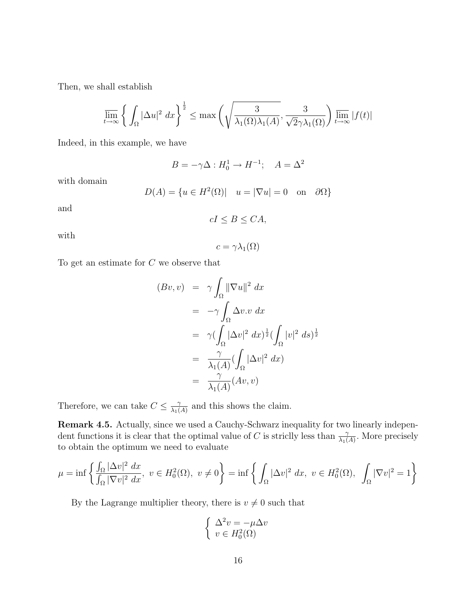Then, we shall establish

$$
\overline{\lim}_{t \to \infty} \left\{ \int_{\Omega} |\Delta u|^2 \, dx \right\}^{\frac{1}{2}} \le \max \left( \sqrt{\frac{3}{\lambda_1(\Omega)\lambda_1(A)}}, \frac{3}{\sqrt{2}\gamma\lambda_1(\Omega)} \right) \overline{\lim}_{t \to \infty} |f(t)|
$$

Indeed, in this example, we have

$$
B = -\gamma \Delta : H_0^1 \to H^{-1}; \quad A = \Delta^2
$$

with domain

$$
D(A) = \{ u \in H^2(\Omega) | \quad u = |\nabla u| = 0 \quad \text{on} \quad \partial \Omega \}
$$

and

$$
cI \le B \le CA,
$$

with

$$
c=\gamma\lambda_1(\Omega)
$$

To get an estimate for C we observe that

$$
(Bv, v) = \gamma \int_{\Omega} ||\nabla u||^2 dx
$$
  
=  $-\gamma \int_{\Omega} \Delta v \cdot v dx$   
=  $\gamma (\int_{\Omega} |\Delta v|^2 dx)^{\frac{1}{2}} (\int_{\Omega} |v|^2 ds)^{\frac{1}{2}}$   
=  $\frac{\gamma}{\lambda_1(A)} (\int_{\Omega} |\Delta v|^2 dx)$   
=  $\frac{\gamma}{\lambda_1(A)} (Av, v)$ 

Therefore, we can take  $C \leq \frac{\gamma}{\lambda}$  $\frac{\gamma}{\lambda_1(A)}$  and this shows the claim.

Remark 4.5. Actually, since we used a Cauchy-Schwarz inequality for two linearly independent functions it is clear that the optimal value of C is strictly less than  $\frac{\gamma}{\lambda_1(A)}$ . More precisely to obtain the optimum we need to evaluate

$$
\mu = \inf \left\{ \frac{\int_{\Omega} |\Delta v|^2 dx}{\int_{\Omega} |\nabla v|^2 dx}, \ v \in H_0^2(\Omega), \ v \neq 0 \right\} = \inf \left\{ \int_{\Omega} |\Delta v|^2 dx, \ v \in H_0^2(\Omega), \ \int_{\Omega} |\nabla v|^2 dx \right\}
$$

By the Lagrange multiplier theory, there is  $v \neq 0$  such that

$$
\begin{cases} \Delta^2 v = -\mu \Delta v \\ v \in H_0^2(\Omega) \end{cases}
$$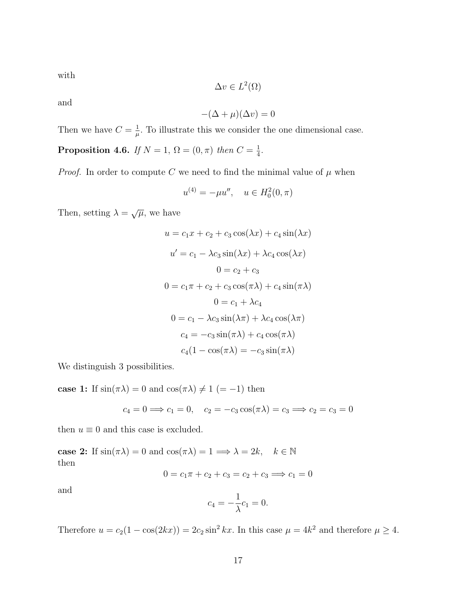with

$$
\Delta v \in L^2(\Omega)
$$

and

$$
-(\Delta + \mu)(\Delta v) = 0
$$

Then we have  $C = \frac{1}{u}$  $\frac{1}{\mu}$ . To illustrate this we consider the one dimensional case.

**Proposition 4.6.** If  $N = 1$ ,  $\Omega = (0, \pi)$  then  $C = \frac{1}{4}$  $\frac{1}{4}$ .

*Proof.* In order to compute C we need to find the minimal value of  $\mu$  when

$$
u^{(4)} = -\mu u'', \quad u \in H_0^2(0, \pi)
$$

Then, setting  $\lambda = \sqrt{\mu}$ , we have

$$
u = c_1x + c_2 + c_3 \cos(\lambda x) + c_4 \sin(\lambda x)
$$
  
\n
$$
u' = c_1 - \lambda c_3 \sin(\lambda x) + \lambda c_4 \cos(\lambda x)
$$
  
\n
$$
0 = c_2 + c_3
$$
  
\n
$$
0 = c_1\pi + c_2 + c_3 \cos(\pi \lambda) + c_4 \sin(\pi \lambda)
$$
  
\n
$$
0 = c_1 + \lambda c_4
$$
  
\n
$$
0 = c_1 - \lambda c_3 \sin(\lambda \pi) + \lambda c_4 \cos(\lambda \pi)
$$
  
\n
$$
c_4 = -c_3 \sin(\pi \lambda) + c_4 \cos(\pi \lambda)
$$
  
\n
$$
c_4(1 - \cos(\pi \lambda)) = -c_3 \sin(\pi \lambda)
$$

We distinguish 3 possibilities.

case 1: If  $sin(\pi \lambda) = 0$  and  $cos(\pi \lambda) \neq 1 (= -1)$  then

$$
c_4 = 0 \Longrightarrow c_1 = 0
$$
,  $c_2 = -c_3 \cos(\pi \lambda) = c_3 \Longrightarrow c_2 = c_3 = 0$ 

then  $u \equiv 0$  and this case is excluded.

case 2: If  $sin(\pi \lambda) = 0$  and  $cos(\pi \lambda) = 1 \implies \lambda = 2k, \quad k \in \mathbb{N}$ then

$$
0 = c_1 \pi + c_2 + c_3 = c_2 + c_3 \implies c_1 = 0
$$

and

$$
c_4 = -\frac{1}{\lambda}c_1 = 0.
$$

Therefore  $u = c_2(1 - \cos(2kx)) = 2c_2 \sin^2 kx$ . In this case  $\mu = 4k^2$  and therefore  $\mu \ge 4$ .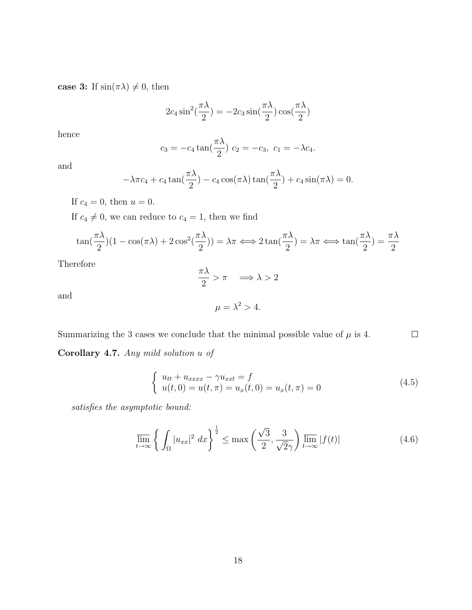case 3: If  $sin(\pi \lambda) \neq 0$ , then

$$
2c_4 \sin^2(\frac{\pi \lambda}{2}) = -2c_3 \sin(\frac{\pi \lambda}{2}) \cos(\frac{\pi \lambda}{2})
$$

hence

$$
c_3 = -c_4 \tan(\frac{\pi \lambda}{2})
$$
  $c_2 = -c_3$ ,  $c_1 = -\lambda c_4$ .

and

$$
-\lambda \pi c_4 + c_4 \tan(\frac{\pi \lambda}{2}) - c_4 \cos(\pi \lambda) \tan(\frac{\pi \lambda}{2}) + c_4 \sin(\pi \lambda) = 0.
$$

If  $c_4 = 0$ , then  $u = 0$ .

If  $c_4 \neq 0$ , we can reduce to  $c_4 = 1$ , then we find

$$
\tan(\frac{\pi\lambda}{2})(1-\cos(\pi\lambda)+2\cos^2(\frac{\pi\lambda}{2})) = \lambda\pi \Longleftrightarrow 2\tan(\frac{\pi\lambda}{2}) = \lambda\pi \Longleftrightarrow \tan(\frac{\pi\lambda}{2}) = \frac{\pi\lambda}{2}
$$

Therefore

$$
\frac{\pi\lambda}{2} > \pi \quad \Longrightarrow \lambda > 2
$$

and

$$
\mu = \lambda^2 > 4.
$$

Summarizing the 3 cases we conclude that the minimal possible value of  $\mu$  is 4.  $\Box$ 

Corollary 4.7. Any mild solution u of

$$
\begin{cases}\n u_{tt} + u_{xxxx} - \gamma u_{xxt} = f \\
u(t,0) = u(t,\pi) = u_x(t,0) = u_x(t,\pi) = 0\n\end{cases}
$$
\n(4.5)

satisfies the asymptotic bound:

$$
\overline{\lim}_{t \to \infty} \left\{ \int_{\Omega} |u_{xx}|^2 \, dx \right\}^{\frac{1}{2}} \le \max \left( \frac{\sqrt{3}}{2}, \frac{3}{\sqrt{2}\gamma} \right) \overline{\lim}_{t \to \infty} |f(t)| \tag{4.6}
$$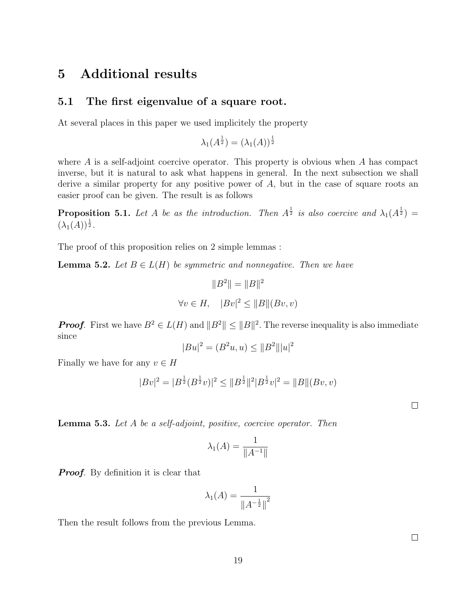## 5 Additional results

#### 5.1 The first eigenvalue of a square root.

At several places in this paper we used implicitely the property

$$
\lambda_1(A^{\frac{1}{2}}) = (\lambda_1(A))^{\frac{1}{2}}
$$

where  $\vec{A}$  is a self-adjoint coercive operator. This property is obvious when  $\vec{A}$  has compact inverse, but it is natural to ask what happens in general. In the next subsection we shall derive a similar property for any positive power of A, but in the case of square roots an easier proof can be given. The result is as follows

**Proposition 5.1.** Let A be as the introduction. Then  $A^{\frac{1}{2}}$  is also coercive and  $\lambda_1(A^{\frac{1}{2}})$  =  $(\lambda_1(A))^{\frac{1}{2}}$ .

The proof of this proposition relies on 2 simple lemmas :

**Lemma 5.2.** Let  $B \in L(H)$  be symmetric and nonnegative. Then we have

$$
||B^2|| = ||B||^2
$$
  

$$
\forall v \in H, \quad |Bv|^2 \le ||B||(Bv, v)
$$

**Proof.** First we have  $B^2 \in L(H)$  and  $||B^2|| \le ||B||^2$ . The reverse inequality is also immediate since

$$
|Bu|^2 = (B^2u, u) \le ||B^2|| |u|^2
$$

Finally we have for any  $v \in H$ 

$$
|Bv|^2 = |B^{\frac{1}{2}}(B^{\frac{1}{2}}v)|^2 \le ||B^{\frac{1}{2}}||^2|B^{\frac{1}{2}}v|^2 = ||B||(Bv,v)|^2
$$

Lemma 5.3. Let A be a self-adjoint, positive, coercive operator. Then

$$
\lambda_1(A) = \frac{1}{\|A^{-1}\|}
$$

**Proof.** By definition it is clear that

$$
\lambda_1(A) = \frac{1}{\|A^{-\frac{1}{2}}\|}^2
$$

Then the result follows from the previous Lemma.

 $\Box$ 

 $\Box$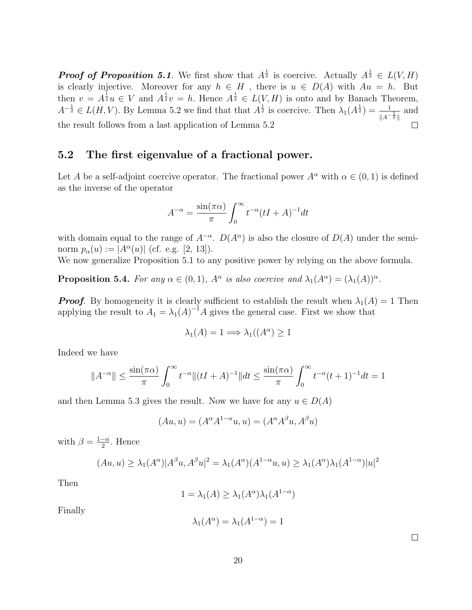**Proof of Proposition 5.1**. We first show that  $A^{\frac{1}{2}}$  is coercive. Actually  $A^{\frac{1}{2}} \in L(V, H)$ is clearly injective. Moreover for any  $h \in H$ , there is  $u \in D(A)$  with  $Au = h$ . But then  $v = A^{\frac{1}{2}}u \in V$  and  $A^{\frac{1}{2}}v = h$ . Hence  $A^{\frac{1}{2}} \in L(V, H)$  is onto and by Banach Theorem,  $A^{-\frac{1}{2}} \in L(H, V)$ . By Lemma 5.2 we find that that  $A^{\frac{1}{2}}$  is coercive. Then  $\lambda_1(A^{\frac{1}{2}}) = \frac{1}{\|A^{-\frac{1}{2}}\|}$  and the result follows from a last application of Lemma 5.2  $\Box$ 

#### 5.2 The first eigenvalue of a fractional power.

Let A be a self-adjoint coercive operator. The fractional power  $A^{\alpha}$  with  $\alpha \in (0,1)$  is defined as the inverse of the operator

$$
A^{-\alpha} = \frac{\sin(\pi \alpha)}{\pi} \int_0^\infty t^{-\alpha} (tI + A)^{-1} dt
$$

with domain equal to the range of  $A^{-\alpha}$ .  $D(A^{\alpha})$  is also the closure of  $D(A)$  under the seminorm  $p_{\alpha}(u) := |A^{\alpha}(u)|$  (cf. e.g. [2, 13]).

We now generalize Proposition 5.1 to any positive power by relying on the above formula.

**Proposition 5.4.** For any  $\alpha \in (0,1)$ ,  $A^{\alpha}$  is also coercive and  $\lambda_1(A^{\alpha}) = (\lambda_1(A))^{\alpha}$ .

**Proof.** By homogeneity it is clearly sufficient to establish the result when  $\lambda_1(A) = 1$  Then applying the result to  $A_1 = \lambda_1(A)^{-1}A$  gives the general case. First we show that

$$
\lambda_1(A) = 1 \Longrightarrow \lambda_1((A^{\alpha}) \ge 1
$$

Indeed we have

$$
||A^{-\alpha}|| \le \frac{\sin(\pi \alpha)}{\pi} \int_0^\infty t^{-\alpha} ||(tI + A)^{-1}|| dt \le \frac{\sin(\pi \alpha)}{\pi} \int_0^\infty t^{-\alpha} (t+1)^{-1} dt = 1
$$

and then Lemma 5.3 gives the result. Now we have for any  $u \in D(A)$ 

$$
(Au, u) = (A^{\alpha} A^{1-\alpha} u, u) = (A^{\alpha} A^{\beta} u, A^{\beta} u)
$$

with  $\beta = \frac{1-\alpha}{2}$  $\frac{-\alpha}{2}$ . Hence

$$
(Au, u) \geq \lambda_1(A^{\alpha})|A^{\beta}u, A^{\beta}u|^2 = \lambda_1(A^{\alpha})(A^{1-\alpha}u, u) \geq \lambda_1(A^{\alpha})\lambda_1(A^{1-\alpha})|u|^2
$$

Then

$$
1 = \lambda_1(A) \ge \lambda_1(A^{\alpha})\lambda_1(A^{1-\alpha})
$$

Finally

$$
\lambda_1(A^{\alpha}) = \lambda_1(A^{1-\alpha}) = 1
$$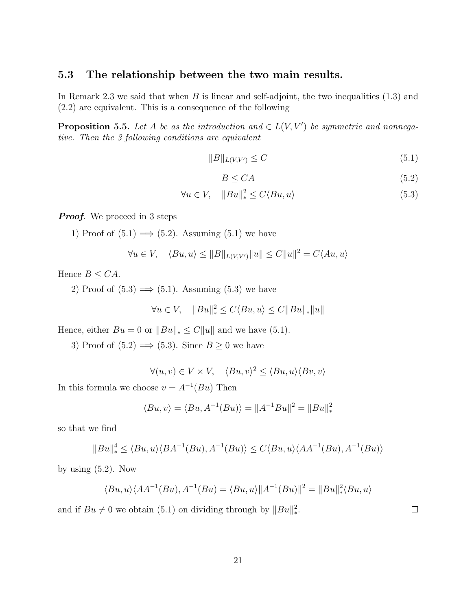#### 5.3 The relationship between the two main results.

In Remark 2.3 we said that when  $B$  is linear and self-adjoint, the two inequalities  $(1.3)$  and (2.2) are equivalent. This is a consequence of the following

**Proposition 5.5.** Let A be as the introduction and  $\in L(V, V')$  be symmetric and nonnegative. Then the 3 following conditions are equivalent

$$
||B||_{L(V,V')} \leq C \tag{5.1}
$$

$$
B \le CA \tag{5.2}
$$

$$
\forall u \in V, \quad \|Bu\|_{*}^{2} \le C \langle Bu, u \rangle \tag{5.3}
$$

**Proof.** We proceed in 3 steps

1) Proof of  $(5.1) \implies (5.2)$ . Assuming  $(5.1)$  we have

$$
\forall u \in V, \quad \langle Bu, u \rangle \leq ||B||_{L(V,V')} ||u|| \leq C ||u||^2 = C \langle Au, u \rangle
$$

Hence  $B \leq CA$ .

2) Proof of  $(5.3) \implies (5.1)$ . Assuming  $(5.3)$  we have

$$
\forall u \in V, \quad \|Bu\|_{*}^{2} \le C \langle Bu, u \rangle \le C \|Bu\|_{*} \|u\|
$$

Hence, either  $Bu = 0$  or  $||Bu||_* \leq C||u||$  and we have (5.1).

3) Proof of  $(5.2) \implies (5.3)$ . Since  $B \ge 0$  we have

 $\forall (u, v) \in V \times V, \quad \langle Bu, v \rangle^2 \leq \langle Bu, u \rangle \langle Bv, v \rangle$ 

In this formula we choose  $v = A^{-1}(Bu)$  Then

$$
\langle Bu, v \rangle = \langle Bu, A^{-1}(Bu) \rangle = ||A^{-1}Bu||^2 = ||Bu||_*^2
$$

so that we find

$$
||Bu||_*^4 \le \langle Bu, u \rangle \langle BA^{-1}(Bu), A^{-1}(Bu) \rangle \le C \langle Bu, u \rangle \langle AA^{-1}(Bu), A^{-1}(Bu) \rangle
$$

by using (5.2). Now

$$
\langle Bu, u \rangle \langle AA^{-1}(Bu), A^{-1}(Bu) = \langle Bu, u \rangle ||A^{-1}(Bu)||^2 = ||Bu||_*^2 \langle Bu, u \rangle
$$

and if  $Bu \neq 0$  we obtain (5.1) on dividing through by  $||Bu||_*^2$ .

 $\Box$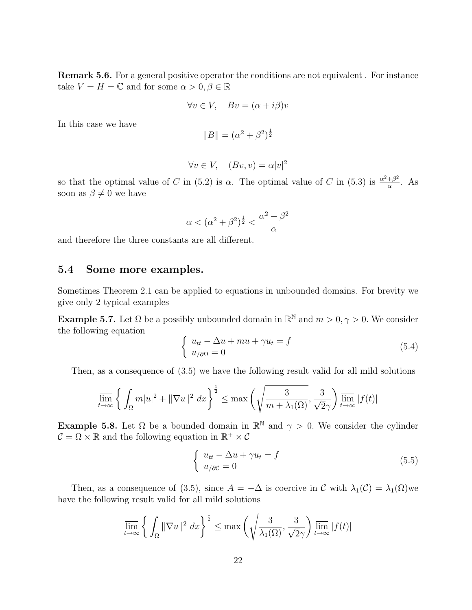Remark 5.6. For a general positive operator the conditions are not equivalent . For instance take  $V = H = \mathbb{C}$  and for some  $\alpha > 0, \beta \in \mathbb{R}$ 

$$
\forall v \in V, \quad Bv = (\alpha + i\beta)v
$$

In this case we have

$$
||B|| = (\alpha^2 + \beta^2)^{\frac{1}{2}}
$$

$$
\forall v \in V, \quad (Bv, v) = \alpha |v|^2
$$

so that the optimal value of C in (5.2) is  $\alpha$ . The optimal value of C in (5.3) is  $\frac{\alpha^2+\beta^2}{\alpha}$  $rac{+\beta^2}{\alpha}$ . As soon as  $\beta \neq 0$  we have

$$
\alpha < (\alpha^2 + \beta^2)^{\frac{1}{2}} < \frac{\alpha^2 + \beta^2}{\alpha}
$$

and therefore the three constants are all different.

#### 5.4 Some more examples.

Sometimes Theorem 2.1 can be applied to equations in unbounded domains. For brevity we give only 2 typical examples

**Example 5.7.** Let  $\Omega$  be a possibly unbounded domain in  $\mathbb{R}^{\mathbb{N}}$  and  $m > 0, \gamma > 0$ . We consider the following equation

$$
\begin{cases}\n u_{tt} - \Delta u + mu + \gamma u_t = f \\
u_{\partial\Omega} = 0\n\end{cases}
$$
\n(5.4)

Then, as a consequence of (3.5) we have the following result valid for all mild solutions

$$
\overline{\lim}_{t \to \infty} \left\{ \int_{\Omega} m|u|^2 + \|\nabla u\|^2 \, dx \right\}^{\frac{1}{2}} \le \max \left( \sqrt{\frac{3}{m + \lambda_1(\Omega)}}, \frac{3}{\sqrt{2}\gamma} \right) \overline{\lim}_{t \to \infty} |f(t)|
$$

**Example 5.8.** Let  $\Omega$  be a bounded domain in  $\mathbb{R}^{\mathbb{N}}$  and  $\gamma > 0$ . We consider the cylinder  $\mathcal{C} = \Omega \times \mathbb{R}$  and the following equation in  $\mathbb{R}^+ \times \mathcal{C}$ 

$$
\begin{cases}\n u_{tt} - \Delta u + \gamma u_t = f \\
u_{\partial C} = 0\n\end{cases}
$$
\n(5.5)

Then, as a consequence of (3.5), since  $A = -\Delta$  is coercive in C with  $\lambda_1(\mathcal{C}) = \lambda_1(\Omega)$  we have the following result valid for all mild solutions

$$
\overline{\lim}_{t \to \infty} \left\{ \int_{\Omega} \|\nabla u\|^2 \, dx \right\}^{\frac{1}{2}} \le \max \left( \sqrt{\frac{3}{\lambda_1(\Omega)}}, \frac{3}{\sqrt{2}\gamma} \right) \overline{\lim}_{t \to \infty} |f(t)|
$$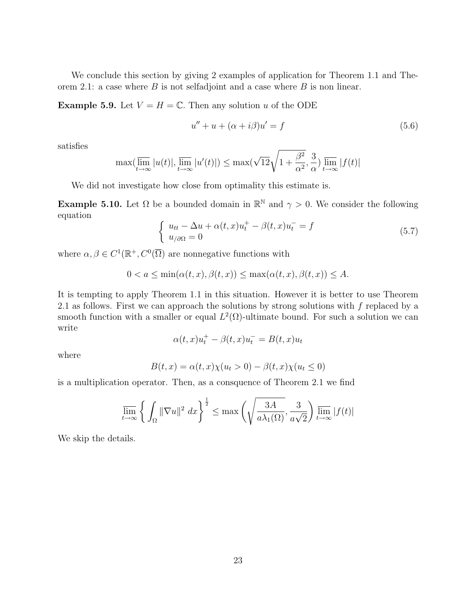We conclude this section by giving 2 examples of application for Theorem 1.1 and Theorem 2.1: a case where  $B$  is not selfadjoint and a case where  $B$  is non linear.

**Example 5.9.** Let  $V = H = \mathbb{C}$ . Then any solution u of the ODE

$$
u'' + u + (\alpha + i\beta)u' = f \tag{5.6}
$$

satisfies

$$
\max(\overline{\lim}_{t \to \infty} |u(t)|, \overline{\lim}_{t \to \infty} |u'(t)|) \le \max(\sqrt{12}\sqrt{1 + \frac{\beta^2}{\alpha^2}}, \frac{3}{\alpha}) \lim_{t \to \infty} |f(t)|
$$

We did not investigate how close from optimality this estimate is.

**Example 5.10.** Let  $\Omega$  be a bounded domain in  $\mathbb{R}^{\mathbb{N}}$  and  $\gamma > 0$ . We consider the following equation

$$
\begin{cases}\n u_{tt} - \Delta u + \alpha(t, x)u_t^+ - \beta(t, x)u_t^- = f \\
u_{/\partial\Omega} = 0\n\end{cases}
$$
\n(5.7)

where  $\alpha, \beta \in C^1(\mathbb{R}^+, C^0(\overline{\Omega}))$  are nonnegative functions with

$$
0 < a \le \min(\alpha(t, x), \beta(t, x)) \le \max(\alpha(t, x), \beta(t, x)) \le A.
$$

It is tempting to apply Theorem 1.1 in this situation. However it is better to use Theorem 2.1 as follows. First we can approach the solutions by strong solutions with f replaced by a smooth function with a smaller or equal  $L^2(\Omega)$ -ultimate bound. For such a solution we can write

$$
\alpha(t,x)u_t^+ - \beta(t,x)u_t^- = B(t,x)u_t
$$

where

$$
B(t, x) = \alpha(t, x)\chi(u_t > 0) - \beta(t, x)\chi(u_t \le 0)
$$

is a multiplication operator. Then, as a consquence of Theorem 2.1 we find

$$
\overline{\lim}_{t \to \infty} \left\{ \int_{\Omega} \|\nabla u\|^2 \, dx \right\}^{\frac{1}{2}} \le \max \left( \sqrt{\frac{3A}{a\lambda_1(\Omega)}}, \frac{3}{a\sqrt{2}} \right) \overline{\lim}_{t \to \infty} |f(t)|
$$

We skip the details.